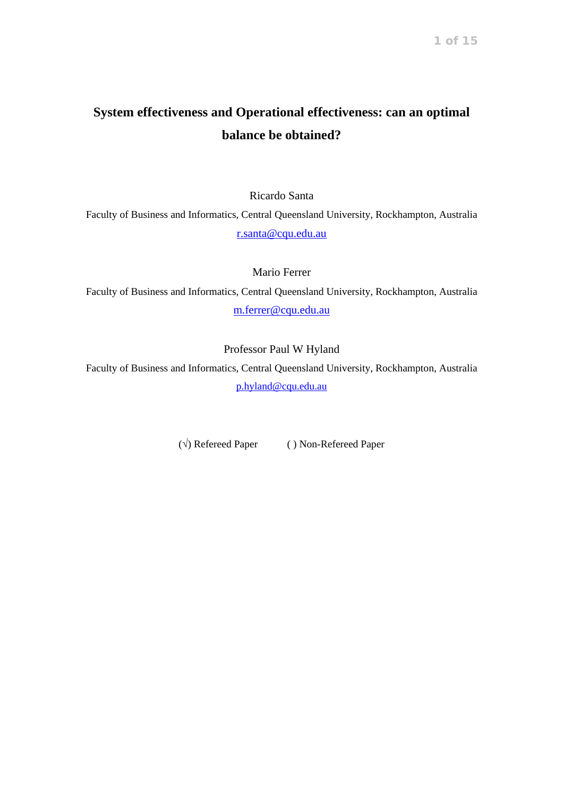# **System effectiveness and Operational effectiveness: can an optimal balance be obtained?**

Ricardo Santa

Faculty of Business and Informatics, Central Queensland University, Rockhampton, Australia [r.santa@cqu.edu.au](mailto:r.santa@cqu.edu.au)

Mario Ferrer

Faculty of Business and Informatics, Central Queensland University, Rockhampton, Australia [m.ferrer@cqu.edu.au](mailto:m.ferrer@cqu.edu.au)

Professor Paul W Hyland

Faculty of Business and Informatics, Central Queensland University, Rockhampton, Australia [p.hyland@cqu.edu.au](mailto:p.hyland@cqu.edu.au)

(√) Refereed Paper ( ) Non-Refereed Paper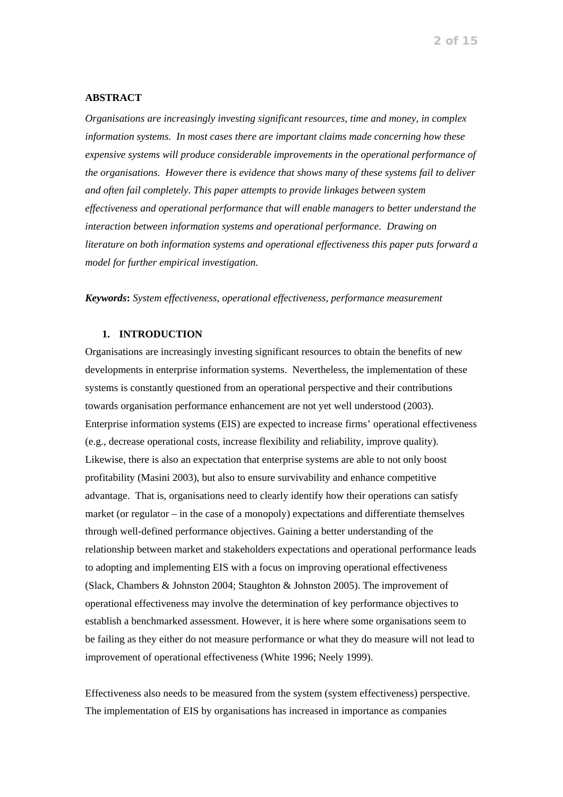# **ABSTRACT**

*Organisations are increasingly investing significant resources, time and money, in complex information systems. In most cases there are important claims made concerning how these expensive systems will produce considerable improvements in the operational performance of the organisations. However there is evidence that shows many of these systems fail to deliver and often fail completely. This paper attempts to provide linkages between system effectiveness and operational performance that will enable managers to better understand the interaction between information systems and operational performance. Drawing on literature on both information systems and operational effectiveness this paper puts forward a model for further empirical investigation.* 

*Keywords***:** *System effectiveness, operational effectiveness, performance measurement*

# **1. INTRODUCTION**

Organisations are increasingly investing significant resources to obtain the benefits of new developments in enterprise information systems. Nevertheless, the implementation of these systems is constantly questioned from an operational perspective and their contributions towards organisation performance enhancement are not yet well understood (2003). Enterprise information systems (EIS) are expected to increase firms' operational effectiveness (e.g., decrease operational costs, increase flexibility and reliability, improve quality). Likewise, there is also an expectation that enterprise systems are able to not only boost profitability (Masini 2003), but also to ensure survivability and enhance competitive advantage. That is, organisations need to clearly identify how their operations can satisfy market (or regulator – in the case of a monopoly) expectations and differentiate themselves through well-defined performance objectives. Gaining a better understanding of the relationship between market and stakeholders expectations and operational performance leads to adopting and implementing EIS with a focus on improving operational effectiveness (Slack, Chambers & Johnston 2004; Staughton & Johnston 2005). The improvement of operational effectiveness may involve the determination of key performance objectives to establish a benchmarked assessment. However, it is here where some organisations seem to be failing as they either do not measure performance or what they do measure will not lead to improvement of operational effectiveness (White 1996; Neely 1999).

Effectiveness also needs to be measured from the system (system effectiveness) perspective. The implementation of EIS by organisations has increased in importance as companies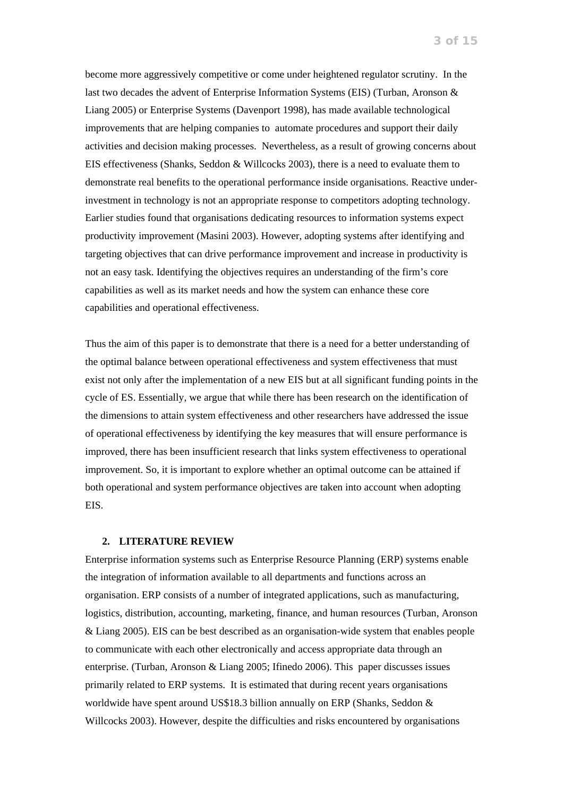become more aggressively competitive or come under heightened regulator scrutiny. In the last two decades the advent of Enterprise Information Systems (EIS) (Turban, Aronson & Liang 2005) or Enterprise Systems (Davenport 1998), has made available technological improvements that are helping companies to automate procedures and support their daily activities and decision making processes. Nevertheless, as a result of growing concerns about EIS effectiveness (Shanks, Seddon & Willcocks 2003), there is a need to evaluate them to demonstrate real benefits to the operational performance inside organisations. Reactive underinvestment in technology is not an appropriate response to competitors adopting technology. Earlier studies found that organisations dedicating resources to information systems expect productivity improvement (Masini 2003). However, adopting systems after identifying and targeting objectives that can drive performance improvement and increase in productivity is not an easy task. Identifying the objectives requires an understanding of the firm's core capabilities as well as its market needs and how the system can enhance these core capabilities and operational effectiveness.

Thus the aim of this paper is to demonstrate that there is a need for a better understanding of the optimal balance between operational effectiveness and system effectiveness that must exist not only after the implementation of a new EIS but at all significant funding points in the cycle of ES. Essentially, we argue that while there has been research on the identification of the dimensions to attain system effectiveness and other researchers have addressed the issue of operational effectiveness by identifying the key measures that will ensure performance is improved, there has been insufficient research that links system effectiveness to operational improvement. So, it is important to explore whether an optimal outcome can be attained if both operational and system performance objectives are taken into account when adopting EIS.

#### **2. LITERATURE REVIEW**

Enterprise information systems such as Enterprise Resource Planning (ERP) systems enable the integration of information available to all departments and functions across an organisation. ERP consists of a number of integrated applications, such as manufacturing, logistics, distribution, accounting, marketing, finance, and human resources (Turban, Aronson & Liang 2005). EIS can be best described as an organisation-wide system that enables people to communicate with each other electronically and access appropriate data through an enterprise. (Turban, Aronson & Liang 2005; Ifinedo 2006). This paper discusses issues primarily related to ERP systems. It is estimated that during recent years organisations worldwide have spent around US\$18.3 billion annually on ERP (Shanks, Seddon & Willcocks 2003). However, despite the difficulties and risks encountered by organisations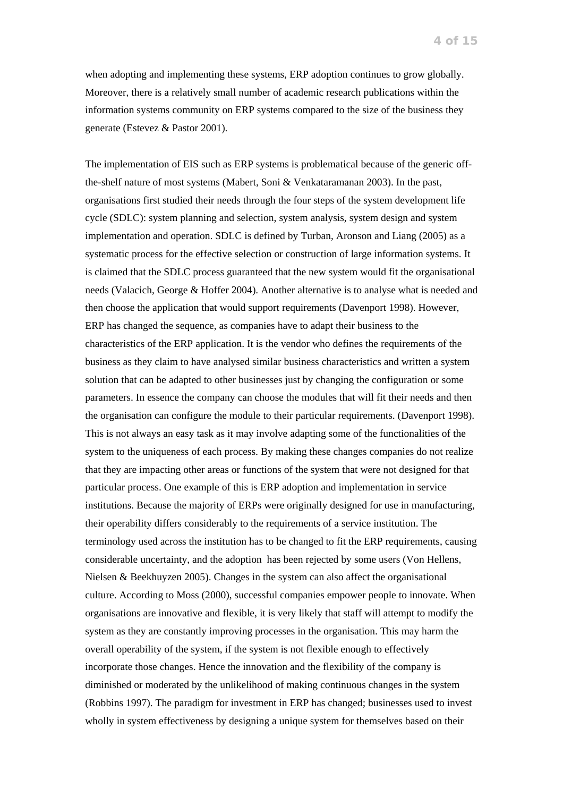when adopting and implementing these systems, ERP adoption continues to grow globally. Moreover, there is a relatively small number of academic research publications within the information systems community on ERP systems compared to the size of the business they generate (Estevez & Pastor 2001).

The implementation of EIS such as ERP systems is problematical because of the generic offthe-shelf nature of most systems (Mabert, Soni & Venkataramanan 2003). In the past, organisations first studied their needs through the four steps of the system development life cycle (SDLC): system planning and selection, system analysis, system design and system implementation and operation. SDLC is defined by Turban, Aronson and Liang (2005) as a systematic process for the effective selection or construction of large information systems. It is claimed that the SDLC process guaranteed that the new system would fit the organisational needs (Valacich, George & Hoffer 2004). Another alternative is to analyse what is needed and then choose the application that would support requirements (Davenport 1998). However, ERP has changed the sequence, as companies have to adapt their business to the characteristics of the ERP application. It is the vendor who defines the requirements of the business as they claim to have analysed similar business characteristics and written a system solution that can be adapted to other businesses just by changing the configuration or some parameters. In essence the company can choose the modules that will fit their needs and then the organisation can configure the module to their particular requirements. (Davenport 1998). This is not always an easy task as it may involve adapting some of the functionalities of the system to the uniqueness of each process. By making these changes companies do not realize that they are impacting other areas or functions of the system that were not designed for that particular process. One example of this is ERP adoption and implementation in service institutions. Because the majority of ERPs were originally designed for use in manufacturing, their operability differs considerably to the requirements of a service institution. The terminology used across the institution has to be changed to fit the ERP requirements, causing considerable uncertainty, and the adoption has been rejected by some users (Von Hellens, Nielsen & Beekhuyzen 2005). Changes in the system can also affect the organisational culture. According to Moss (2000), successful companies empower people to innovate. When organisations are innovative and flexible, it is very likely that staff will attempt to modify the system as they are constantly improving processes in the organisation. This may harm the overall operability of the system, if the system is not flexible enough to effectively incorporate those changes. Hence the innovation and the flexibility of the company is diminished or moderated by the unlikelihood of making continuous changes in the system (Robbins 1997). The paradigm for investment in ERP has changed; businesses used to invest wholly in system effectiveness by designing a unique system for themselves based on their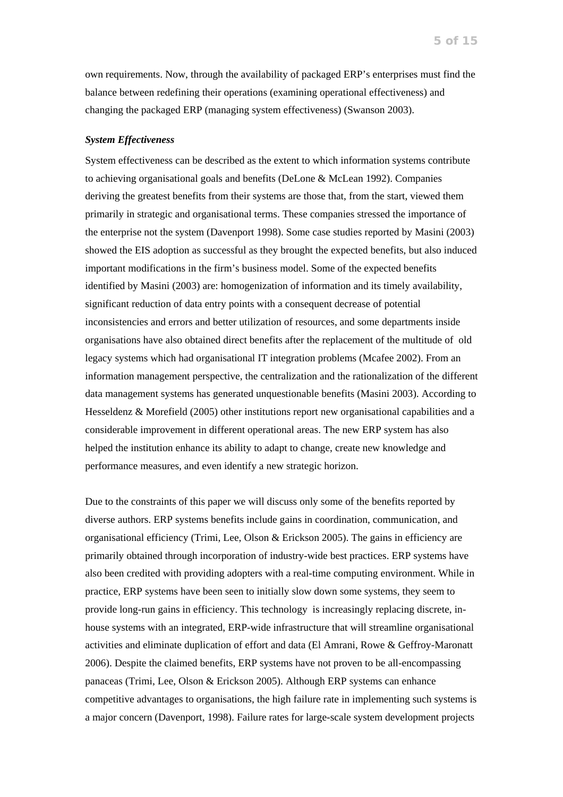own requirements. Now, through the availability of packaged ERP's enterprises must find the balance between redefining their operations (examining operational effectiveness) and changing the packaged ERP (managing system effectiveness) (Swanson 2003).

## *System Effectiveness*

System effectiveness can be described as the extent to which information systems contribute to achieving organisational goals and benefits (DeLone & McLean 1992). Companies deriving the greatest benefits from their systems are those that, from the start, viewed them primarily in strategic and organisational terms. These companies stressed the importance of the enterprise not the system (Davenport 1998). Some case studies reported by Masini (2003) showed the EIS adoption as successful as they brought the expected benefits, but also induced important modifications in the firm's business model. Some of the expected benefits identified by Masini (2003) are: homogenization of information and its timely availability, significant reduction of data entry points with a consequent decrease of potential inconsistencies and errors and better utilization of resources, and some departments inside organisations have also obtained direct benefits after the replacement of the multitude of old legacy systems which had organisational IT integration problems (Mcafee 2002). From an information management perspective, the centralization and the rationalization of the different data management systems has generated unquestionable benefits (Masini 2003). According to Hesseldenz & Morefield (2005) other institutions report new organisational capabilities and a considerable improvement in different operational areas. The new ERP system has also helped the institution enhance its ability to adapt to change, create new knowledge and performance measures, and even identify a new strategic horizon.

Due to the constraints of this paper we will discuss only some of the benefits reported by diverse authors. ERP systems benefits include gains in coordination, communication, and organisational efficiency (Trimi, Lee, Olson & Erickson 2005). The gains in efficiency are primarily obtained through incorporation of industry-wide best practices. ERP systems have also been credited with providing adopters with a real-time computing environment. While in practice, ERP systems have been seen to initially slow down some systems, they seem to provide long-run gains in efficiency. This technology is increasingly replacing discrete, inhouse systems with an integrated, ERP-wide infrastructure that will streamline organisational activities and eliminate duplication of effort and data (El Amrani, Rowe & Geffroy-Maronatt 2006). Despite the claimed benefits, ERP systems have not proven to be all-encompassing panaceas (Trimi, Lee, Olson & Erickson 2005). Although ERP systems can enhance competitive advantages to organisations, the high failure rate in implementing such systems is a major concern (Davenport, 1998). Failure rates for large-scale system development projects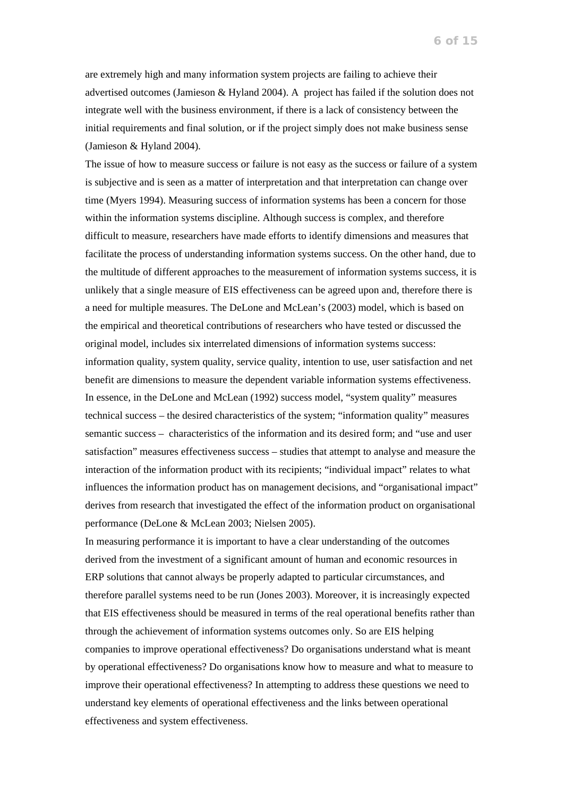are extremely high and many information system projects are failing to achieve their advertised outcomes (Jamieson & Hyland 2004). A project has failed if the solution does not integrate well with the business environment, if there is a lack of consistency between the initial requirements and final solution, or if the project simply does not make business sense (Jamieson & Hyland 2004).

The issue of how to measure success or failure is not easy as the success or failure of a system is subjective and is seen as a matter of interpretation and that interpretation can change over time (Myers 1994). Measuring success of information systems has been a concern for those within the information systems discipline. Although success is complex, and therefore difficult to measure, researchers have made efforts to identify dimensions and measures that facilitate the process of understanding information systems success. On the other hand, due to the multitude of different approaches to the measurement of information systems success, it is unlikely that a single measure of EIS effectiveness can be agreed upon and, therefore there is a need for multiple measures. The DeLone and McLean's (2003) model, which is based on the empirical and theoretical contributions of researchers who have tested or discussed the original model, includes six interrelated dimensions of information systems success: information quality, system quality, service quality, intention to use, user satisfaction and net benefit are dimensions to measure the dependent variable information systems effectiveness. In essence, in the DeLone and McLean (1992) success model, "system quality" measures technical success – the desired characteristics of the system; "information quality" measures semantic success – characteristics of the information and its desired form; and "use and user satisfaction" measures effectiveness success – studies that attempt to analyse and measure the interaction of the information product with its recipients; "individual impact" relates to what influences the information product has on management decisions, and "organisational impact" derives from research that investigated the effect of the information product on organisational performance (DeLone & McLean 2003; Nielsen 2005).

In measuring performance it is important to have a clear understanding of the outcomes derived from the investment of a significant amount of human and economic resources in ERP solutions that cannot always be properly adapted to particular circumstances, and therefore parallel systems need to be run (Jones 2003). Moreover, it is increasingly expected that EIS effectiveness should be measured in terms of the real operational benefits rather than through the achievement of information systems outcomes only. So are EIS helping companies to improve operational effectiveness? Do organisations understand what is meant by operational effectiveness? Do organisations know how to measure and what to measure to improve their operational effectiveness? In attempting to address these questions we need to understand key elements of operational effectiveness and the links between operational effectiveness and system effectiveness.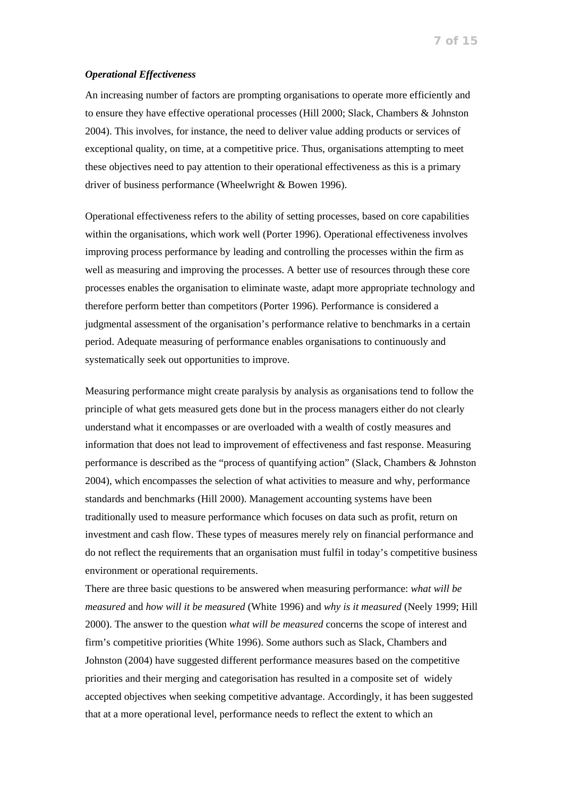### *Operational Effectiveness*

An increasing number of factors are prompting organisations to operate more efficiently and to ensure they have effective operational processes (Hill 2000; Slack, Chambers & Johnston 2004). This involves, for instance, the need to deliver value adding products or services of exceptional quality, on time, at a competitive price. Thus, organisations attempting to meet these objectives need to pay attention to their operational effectiveness as this is a primary driver of business performance (Wheelwright & Bowen 1996).

Operational effectiveness refers to the ability of setting processes, based on core capabilities within the organisations, which work well (Porter 1996). Operational effectiveness involves improving process performance by leading and controlling the processes within the firm as well as measuring and improving the processes. A better use of resources through these core processes enables the organisation to eliminate waste, adapt more appropriate technology and therefore perform better than competitors (Porter 1996). Performance is considered a judgmental assessment of the organisation's performance relative to benchmarks in a certain period. Adequate measuring of performance enables organisations to continuously and systematically seek out opportunities to improve.

Measuring performance might create paralysis by analysis as organisations tend to follow the principle of what gets measured gets done but in the process managers either do not clearly understand what it encompasses or are overloaded with a wealth of costly measures and information that does not lead to improvement of effectiveness and fast response. Measuring performance is described as the "process of quantifying action" (Slack, Chambers & Johnston 2004), which encompasses the selection of what activities to measure and why, performance standards and benchmarks (Hill 2000). Management accounting systems have been traditionally used to measure performance which focuses on data such as profit, return on investment and cash flow. These types of measures merely rely on financial performance and do not reflect the requirements that an organisation must fulfil in today's competitive business environment or operational requirements.

There are three basic questions to be answered when measuring performance: *what will be measured* and *how will it be measured* (White 1996) and *why is it measured* (Neely 1999; Hill 2000). The answer to the question *what will be measured* concerns the scope of interest and firm's competitive priorities (White 1996). Some authors such as Slack, Chambers and Johnston (2004) have suggested different performance measures based on the competitive priorities and their merging and categorisation has resulted in a composite set of widely accepted objectives when seeking competitive advantage. Accordingly, it has been suggested that at a more operational level, performance needs to reflect the extent to which an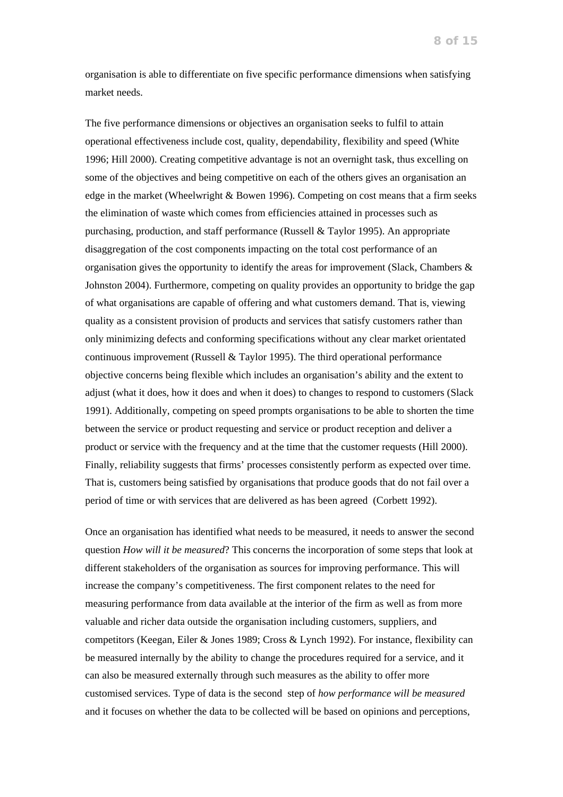organisation is able to differentiate on five specific performance dimensions when satisfying market needs.

The five performance dimensions or objectives an organisation seeks to fulfil to attain operational effectiveness include cost, quality, dependability, flexibility and speed (White 1996; Hill 2000). Creating competitive advantage is not an overnight task, thus excelling on some of the objectives and being competitive on each of the others gives an organisation an edge in the market (Wheelwright  $&$  Bowen 1996). Competing on cost means that a firm seeks the elimination of waste which comes from efficiencies attained in processes such as purchasing, production, and staff performance (Russell & Taylor 1995). An appropriate disaggregation of the cost components impacting on the total cost performance of an organisation gives the opportunity to identify the areas for improvement (Slack, Chambers  $\&$ Johnston 2004). Furthermore, competing on quality provides an opportunity to bridge the gap of what organisations are capable of offering and what customers demand. That is, viewing quality as a consistent provision of products and services that satisfy customers rather than only minimizing defects and conforming specifications without any clear market orientated continuous improvement (Russell & Taylor 1995). The third operational performance objective concerns being flexible which includes an organisation's ability and the extent to adjust (what it does, how it does and when it does) to changes to respond to customers (Slack 1991). Additionally, competing on speed prompts organisations to be able to shorten the time between the service or product requesting and service or product reception and deliver a product or service with the frequency and at the time that the customer requests (Hill 2000). Finally, reliability suggests that firms' processes consistently perform as expected over time. That is, customers being satisfied by organisations that produce goods that do not fail over a period of time or with services that are delivered as has been agreed (Corbett 1992).

Once an organisation has identified what needs to be measured, it needs to answer the second question *How will it be measured*? This concerns the incorporation of some steps that look at different stakeholders of the organisation as sources for improving performance. This will increase the company's competitiveness. The first component relates to the need for measuring performance from data available at the interior of the firm as well as from more valuable and richer data outside the organisation including customers, suppliers, and competitors (Keegan, Eiler & Jones 1989; Cross & Lynch 1992). For instance, flexibility can be measured internally by the ability to change the procedures required for a service, and it can also be measured externally through such measures as the ability to offer more customised services. Type of data is the second step of *how performance will be measured* and it focuses on whether the data to be collected will be based on opinions and perceptions,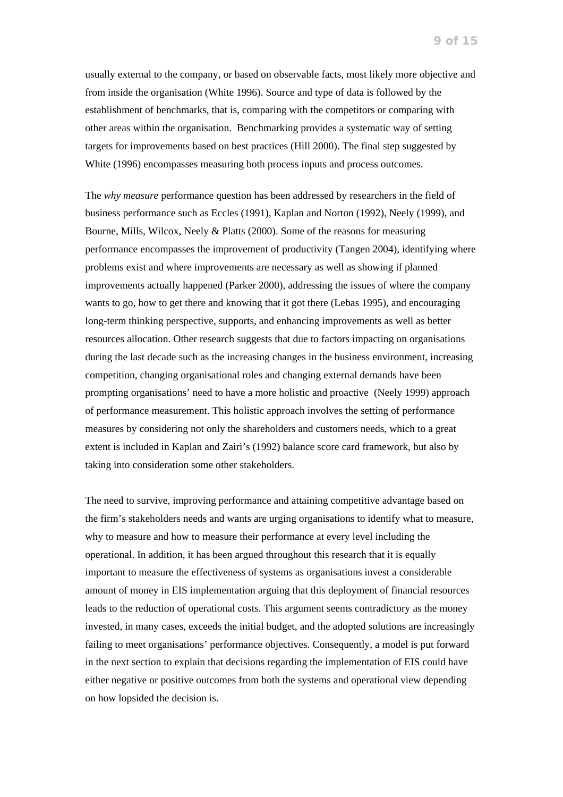usually external to the company, or based on observable facts, most likely more objective and from inside the organisation (White 1996). Source and type of data is followed by the establishment of benchmarks, that is, comparing with the competitors or comparing with other areas within the organisation. Benchmarking provides a systematic way of setting targets for improvements based on best practices (Hill 2000). The final step suggested by White (1996) encompasses measuring both process inputs and process outcomes.

The *why measure* performance question has been addressed by researchers in the field of business performance such as Eccles (1991), Kaplan and Norton (1992), Neely (1999), and Bourne, Mills, Wilcox, Neely & Platts (2000). Some of the reasons for measuring performance encompasses the improvement of productivity (Tangen 2004), identifying where problems exist and where improvements are necessary as well as showing if planned improvements actually happened (Parker 2000), addressing the issues of where the company wants to go, how to get there and knowing that it got there (Lebas 1995), and encouraging long-term thinking perspective, supports, and enhancing improvements as well as better resources allocation. Other research suggests that due to factors impacting on organisations during the last decade such as the increasing changes in the business environment, increasing competition, changing organisational roles and changing external demands have been prompting organisations' need to have a more holistic and proactive (Neely 1999) approach of performance measurement. This holistic approach involves the setting of performance measures by considering not only the shareholders and customers needs, which to a great extent is included in Kaplan and Zairi's (1992) balance score card framework, but also by taking into consideration some other stakeholders.

The need to survive, improving performance and attaining competitive advantage based on the firm's stakeholders needs and wants are urging organisations to identify what to measure, why to measure and how to measure their performance at every level including the operational. In addition, it has been argued throughout this research that it is equally important to measure the effectiveness of systems as organisations invest a considerable amount of money in EIS implementation arguing that this deployment of financial resources leads to the reduction of operational costs. This argument seems contradictory as the money invested, in many cases, exceeds the initial budget, and the adopted solutions are increasingly failing to meet organisations' performance objectives. Consequently, a model is put forward in the next section to explain that decisions regarding the implementation of EIS could have either negative or positive outcomes from both the systems and operational view depending on how lopsided the decision is.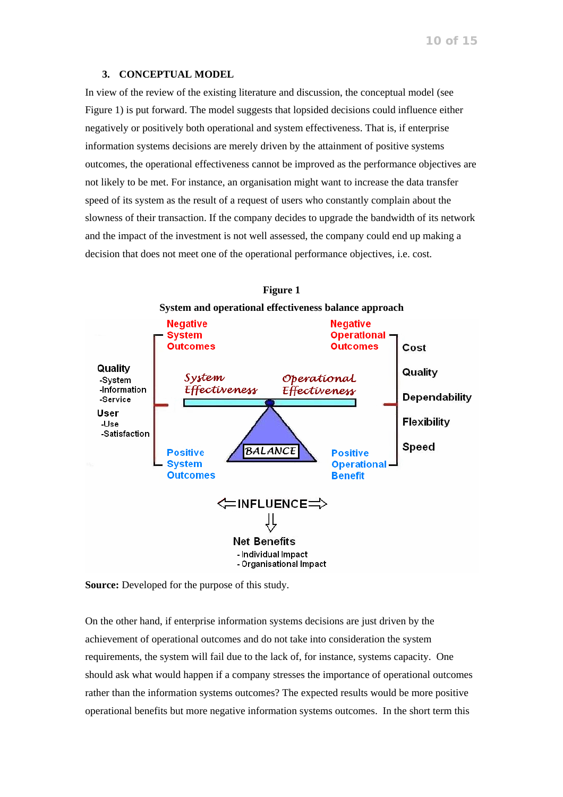#### **3. CONCEPTUAL MODEL**

In view of the review of the existing literature and discussion, the conceptual model (see Figure 1) is put forward. The model suggests that lopsided decisions could influence either negatively or positively both operational and system effectiveness. That is, if enterprise information systems decisions are merely driven by the attainment of positive systems outcomes, the operational effectiveness cannot be improved as the performance objectives are not likely to be met. For instance, an organisation might want to increase the data transfer speed of its system as the result of a request of users who constantly complain about the slowness of their transaction. If the company decides to upgrade the bandwidth of its network and the impact of the investment is not well assessed, the company could end up making a decision that does not meet one of the operational performance objectives, i.e. cost.





**Source:** Developed for the purpose of this study.

On the other hand, if enterprise information systems decisions are just driven by the achievement of operational outcomes and do not take into consideration the system requirements, the system will fail due to the lack of, for instance, systems capacity. One should ask what would happen if a company stresses the importance of operational outcomes rather than the information systems outcomes? The expected results would be more positive operational benefits but more negative information systems outcomes. In the short term this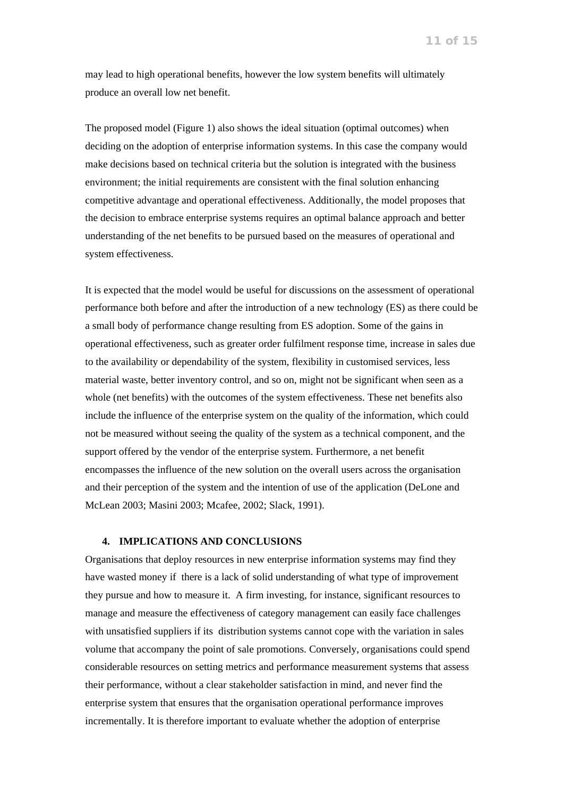may lead to high operational benefits, however the low system benefits will ultimately produce an overall low net benefit.

The proposed model (Figure 1) also shows the ideal situation (optimal outcomes) when deciding on the adoption of enterprise information systems. In this case the company would make decisions based on technical criteria but the solution is integrated with the business environment; the initial requirements are consistent with the final solution enhancing competitive advantage and operational effectiveness. Additionally, the model proposes that the decision to embrace enterprise systems requires an optimal balance approach and better understanding of the net benefits to be pursued based on the measures of operational and system effectiveness.

It is expected that the model would be useful for discussions on the assessment of operational performance both before and after the introduction of a new technology (ES) as there could be a small body of performance change resulting from ES adoption. Some of the gains in operational effectiveness, such as greater order fulfilment response time, increase in sales due to the availability or dependability of the system, flexibility in customised services, less material waste, better inventory control, and so on, might not be significant when seen as a whole (net benefits) with the outcomes of the system effectiveness. These net benefits also include the influence of the enterprise system on the quality of the information, which could not be measured without seeing the quality of the system as a technical component, and the support offered by the vendor of the enterprise system. Furthermore, a net benefit encompasses the influence of the new solution on the overall users across the organisation and their perception of the system and the intention of use of the application (DeLone and McLean 2003; Masini 2003; Mcafee, 2002; Slack, 1991).

#### **4. IMPLICATIONS AND CONCLUSIONS**

Organisations that deploy resources in new enterprise information systems may find they have wasted money if there is a lack of solid understanding of what type of improvement they pursue and how to measure it. A firm investing, for instance, significant resources to manage and measure the effectiveness of category management can easily face challenges with unsatisfied suppliers if its distribution systems cannot cope with the variation in sales volume that accompany the point of sale promotions. Conversely, organisations could spend considerable resources on setting metrics and performance measurement systems that assess their performance, without a clear stakeholder satisfaction in mind, and never find the enterprise system that ensures that the organisation operational performance improves incrementally. It is therefore important to evaluate whether the adoption of enterprise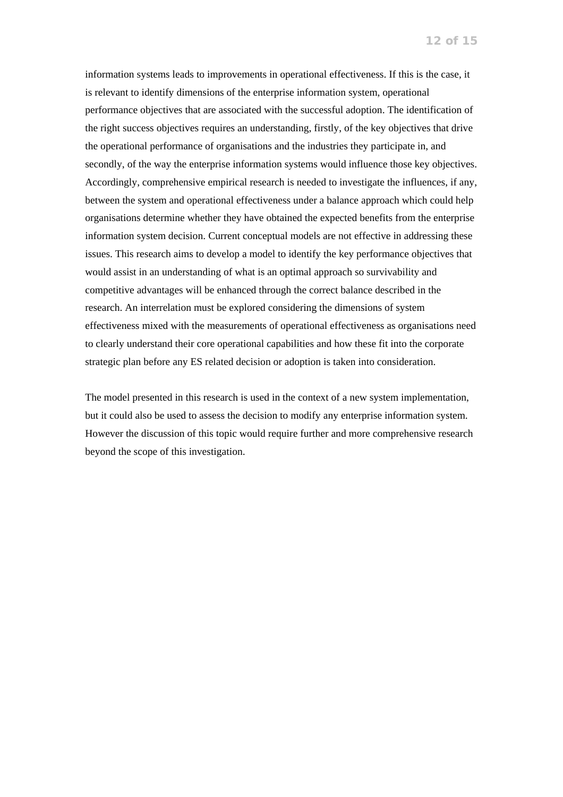information systems leads to improvements in operational effectiveness. If this is the case, it is relevant to identify dimensions of the enterprise information system, operational performance objectives that are associated with the successful adoption. The identification of the right success objectives requires an understanding, firstly, of the key objectives that drive the operational performance of organisations and the industries they participate in, and secondly, of the way the enterprise information systems would influence those key objectives. Accordingly, comprehensive empirical research is needed to investigate the influences, if any, between the system and operational effectiveness under a balance approach which could help organisations determine whether they have obtained the expected benefits from the enterprise information system decision. Current conceptual models are not effective in addressing these issues. This research aims to develop a model to identify the key performance objectives that would assist in an understanding of what is an optimal approach so survivability and competitive advantages will be enhanced through the correct balance described in the research. An interrelation must be explored considering the dimensions of system effectiveness mixed with the measurements of operational effectiveness as organisations need to clearly understand their core operational capabilities and how these fit into the corporate strategic plan before any ES related decision or adoption is taken into consideration.

The model presented in this research is used in the context of a new system implementation, but it could also be used to assess the decision to modify any enterprise information system. However the discussion of this topic would require further and more comprehensive research beyond the scope of this investigation.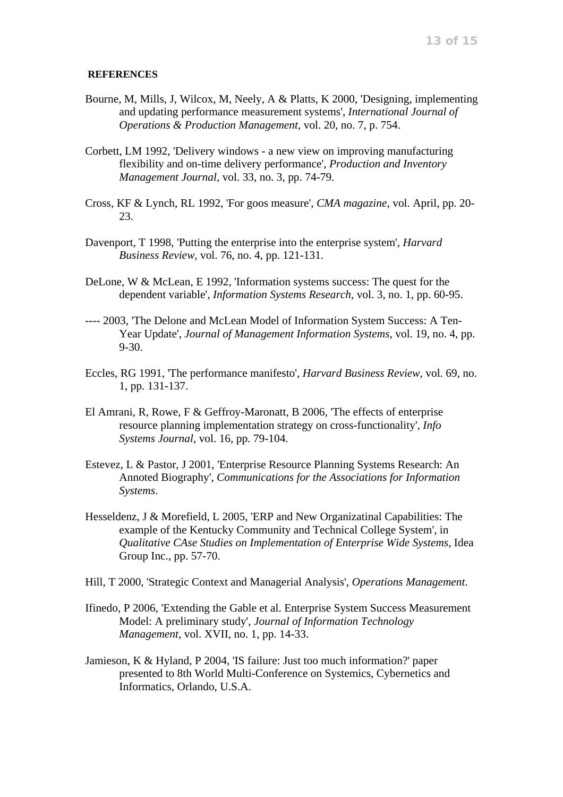# **REFERENCES**

- Bourne, M, Mills, J, Wilcox, M, Neely, A & Platts, K 2000, 'Designing, implementing and updating performance measurement systems', *International Journal of Operations & Production Management*, vol. 20, no. 7, p. 754.
- Corbett, LM 1992, 'Delivery windows a new view on improving manufacturing flexibility and on-time delivery performance', *Production and Inventory Management Journal*, vol. 33, no. 3, pp. 74-79.
- Cross, KF & Lynch, RL 1992, 'For goos measure', *CMA magazine*, vol. April, pp. 20- 23.
- Davenport, T 1998, 'Putting the enterprise into the enterprise system', *Harvard Business Review*, vol. 76, no. 4, pp. 121-131.
- DeLone, W & McLean, E 1992, 'Information systems success: The quest for the dependent variable', *Information Systems Research*, vol. 3, no. 1, pp. 60-95.
- ---- 2003, 'The Delone and McLean Model of Information System Success: A Ten-Year Update', *Journal of Management Information Systems*, vol. 19, no. 4, pp. 9-30.
- Eccles, RG 1991, 'The performance manifesto', *Harvard Business Review*, vol. 69, no. 1, pp. 131-137.
- El Amrani, R, Rowe, F & Geffroy-Maronatt, B 2006, 'The effects of enterprise resource planning implementation strategy on cross-functionality', *Info Systems Journal*, vol. 16, pp. 79-104.
- Estevez, L & Pastor, J 2001, 'Enterprise Resource Planning Systems Research: An Annoted Biography', *Communications for the Associations for Information Systems*.
- Hesseldenz, J & Morefield, L 2005, 'ERP and New Organizatinal Capabilities: The example of the Kentucky Community and Technical College System', in *Qualitative CAse Studies on Implementation of Enterprise Wide Systems*, Idea Group Inc., pp. 57-70.
- Hill, T 2000, 'Strategic Context and Managerial Analysis', *Operations Management*.
- Ifinedo, P 2006, 'Extending the Gable et al. Enterprise System Success Measurement Model: A preliminary study', *Journal of Information Technology Management*, vol. XVII, no. 1, pp. 14-33.
- Jamieson, K & Hyland, P 2004, 'IS failure: Just too much information?' paper presented to 8th World Multi-Conference on Systemics, Cybernetics and Informatics, Orlando, U.S.A.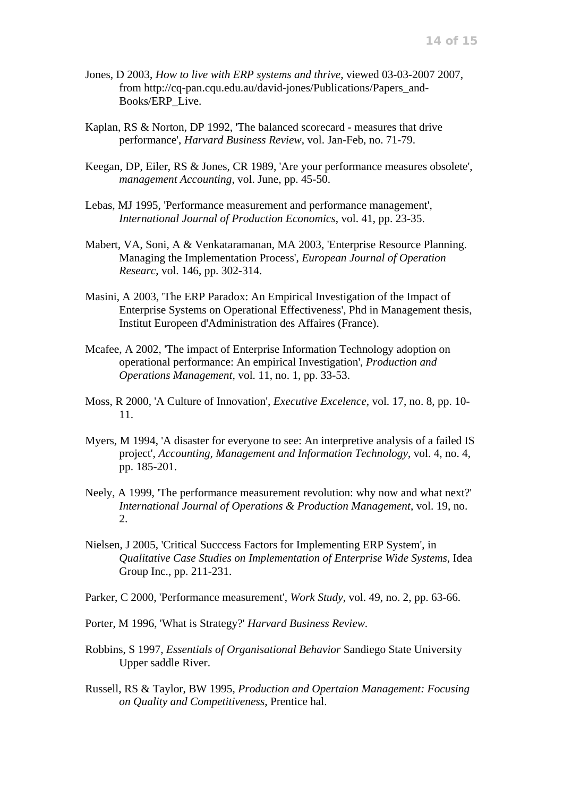- Jones, D 2003, *How to live with ERP systems and thrive*, viewed 03-03-2007 2007, from http://cq-pan.cqu.edu.au/david-jones/Publications/Papers\_and-Books/ERP\_Live.
- Kaplan, RS & Norton, DP 1992, 'The balanced scorecard measures that drive performance', *Harvard Business Review*, vol. Jan-Feb, no. 71-79.
- Keegan, DP, Eiler, RS & Jones, CR 1989, 'Are your performance measures obsolete', *management Accounting*, vol. June, pp. 45-50.
- Lebas, MJ 1995, 'Performance measurement and performance management', *International Journal of Production Economics*, vol. 41, pp. 23-35.
- Mabert, VA, Soni, A & Venkataramanan, MA 2003, 'Enterprise Resource Planning. Managing the Implementation Process', *European Journal of Operation Researc*, vol. 146, pp. 302-314.
- Masini, A 2003, 'The ERP Paradox: An Empirical Investigation of the Impact of Enterprise Systems on Operational Effectiveness', Phd in Management thesis, Institut Europeen d'Administration des Affaires (France).
- Mcafee, A 2002, 'The impact of Enterprise Information Technology adoption on operational performance: An empirical Investigation', *Production and Operations Management*, vol. 11, no. 1, pp. 33-53.
- Moss, R 2000, 'A Culture of Innovation', *Executive Excelence*, vol. 17, no. 8, pp. 10- 11.
- Myers, M 1994, 'A disaster for everyone to see: An interpretive analysis of a failed IS project', *Accounting, Management and Information Technology*, vol. 4, no. 4, pp. 185-201.
- Neely, A 1999, 'The performance measurement revolution: why now and what next?' *International Journal of Operations & Production Management*, vol. 19, no. 2.
- Nielsen, J 2005, 'Critical Succcess Factors for Implementing ERP System', in *Qualitative Case Studies on Implementation of Enterprise Wide Systems*, Idea Group Inc., pp. 211-231.
- Parker, C 2000, 'Performance measurement', *Work Study*, vol. 49, no. 2, pp. 63-66.
- Porter, M 1996, 'What is Strategy?' *Harvard Business Review*.
- Robbins, S 1997, *Essentials of Organisational Behavior* Sandiego State University Upper saddle River.
- Russell, RS & Taylor, BW 1995, *Production and Opertaion Management: Focusing on Quality and Competitiveness*, Prentice hal.